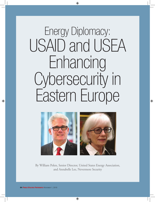# Energy Diplomacy: USAID and USEA Enhancing Cybersecurity in Eastern Europe



By William Polen, Senior Director, United States Energy Association, and Annabelle Lee, Nevermore Security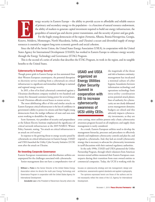

nergy security in Eastern Europe – the ability to provide access to affordable and reliable sources<br>of primary and secondary energy to the population – is a function of natural resource endowment,<br>the ability of markets to of primary and secondary energy to the population – is a function of natural resource endowment, the ability of markets to generate capital investment required to build out energy infrastructure, the geopolitics of natural gas and electric power transmission, and the security of power and gas grids.

For the fragile young democracies of the region (Armenia, Albania, Bosnia-Herzegovina, Georgia, Kosovo, Moldova, Montenegro, North Macedonia, Serbia, and Ukraine) a secure and diversified supply of energy resources is essential to support long term economic growth and social cohesion.

Since the fall of the Soviet Union, the United States Energy Association (USEA), in cooperation with the United States Agency for International Development (USAID), has worked in Eastern Europe to enhance energy security through the Energy Technology and Governance (ETAG) Program.

This is the second of a series of articles that describes the ETAG Program, its work in the region, and its tangible benefits to the United States.

### **Cybersecurity is Energy Security**

Though power grids in Eastern Europe are less automated than their Western European counterparts, the potential disruption to electricity service resulting from a cyberattack on critical infrastructure is a significant and immediate challenge to national and regional energy security.

In 2015, a first of its kind cyberattack committed against a Ukrainian distribution company resulted in two hundred and twenty-five thousand customers losing power for several hours. It took Ukrainian officials several hours to restore service.

The most debilitating effect of this and similar attacks on Eastern European critical infrastructure is the loss of confidence in government's ability to protect its citizens and their fragile young democracies from the malign influence of state and non-state actors working to destabilize the region.

Scott Aaronson, vice president of security and preparedness at the Edison Electric Institute emphasized the significance of critical network infrastructure at the 2019 NARUC Winter Policy Summit, stating, "An attack on critical infrastructure is an attack on civil society."

In response to the growing threat to energy security posed by cyberattacks on critical infrastructure in Eastern Europe, USAID and USEA launched the Utility Cyber Security Initiative (UCSI) soon after the attack on Ukraine.

### **Re-Inventing Corporate Governance**

Eastern European transmission and distribution utilities are unprepared for the challenges associated with cyberattacks.

Senior management does not have a comprehensive view of

**William L. Polen** is the Senior Director at the United States Energy Association where he directs the multi-year Energy Technology and Governance Program in cooperation with the United States Agency for International Development.

 **Annabelle Lee** is the President of Nevermore Security where she

USAID and USEA organized an Energy Utilities Cyber Security Summit in cooperation with EEI to increase cybersecurity awareness of UCSI utility CEOs. the magnitude of the threat and risk to business continuity; management has inculcated a minimal culture of cyber hygiene; boundaries between information technology and operations technology limit intra-utility coordination across potential attack planes; lines of authority for cybersecurity are not clearly delineated across management domains; budgets are siloed and this adversely impacts cybersecurity investments, as they are

cross-cutting; most utilities possess only a basic cybersecurity awareness program focused on all employees; and supply chain management is rarely considered.

As a result, Eastern European utilities need to develop the management hierarchy, processes and procedures to effectively identify and implement cybersecurity controls and plan for, and respond to, cyberattacks. And, they lack an overall cybersecurity strategy that is necessary to advocate for cybersecurity investments in tariff discussions with their national regulatory authorities.

In the early 1990s, USAID and USEA pioneered the Utility Partnership Program, through which volunteers from American investor-owned utilities mentored their Eastern European counterparts during their transition from state owned entities to commercial companies. Today, the UCSI is working with the

focuses on cybersecurity strategy and risk management; design and architecture; assessments against standards and applied cryptography.

The opinions expressed herein are those of the authors and do not necessarily reflect the views of the U.S. Agency for International Development.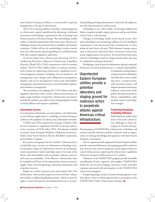same Eastern European utilities to re-invent their corporate management in the age of cybersecurity.

The UCSI is assisting utilities to develop a rational approach to cybersecurity capital expenditures by advancing a risk-based assessment methodology customized to the technology and business practices of Eastern Europe. The methodology enables utilities to identify and prioritize their most acute cybersecurity challenges based on the potential risk to reliability and business continuity. Utilities will use the methodology's results to justify near term cybersecurity capital expenditures in tariff discussions with their national regulatory authorities.

To foster longer-term cybersecurity planning, UCSI is conducting Electricity Subsector Cybersecurity Capability Maturity Model (ES-C2M2) assessments with its member utilities. The ES-C2M2 enables utilities to evaluate, prioritize, and set goals for improving cybersecurity capabilities in several management domains, including, but not limited to: risk management; asset, change, and configuration management; identity and access management; threat and vulnerability management; situational awareness; event and incident response; and workforce management.

The assessments are helping the UCSI utilities and their regulators determine their current cybersecurity posture, set goals, target medium to long-term cybersecurity investment, and identify policies, procedures and training programs needed to fortify defense and response capabilities.

### **Information Access**

Accessing threat information, security updates, and information on new software applications is a challenge to Eastern European utilities on the periphery of cybersecurity information networks.

USAID and USEA organized an Energy Utilities Cyber Security Summit in cooperation with EEI to increase cybersecurity awareness of UCSI utility CEOs. Participants included executives from Avangrid, Berkshire Hathaway, Eversource, Exelon, Enel, North American Electric Reliability Corporation, and Southern Company.

Key points emerging from the summit: Cybersecurity is a leadership issue, not just an information technology issue. Inculcating a culture of cybersecurity must be one of management's top priorities. Senior leadership needs to be aware of the threats and vulnerabilities and set priorities, allocate resources, and create accountability. To be effective, cybersecurity must be included in all facets of the organization: human resources, supply chain, network planning, substation automation, and corporate structure.

People are a utility's greatest asset and weakest link. First and foremost, cybersecurity requires an aware and alert culture, particularly in addressing phishing attacks, which account for eighty to ninety-five percent of unauthorized access to systems.

Anti-phishing training and awareness is critical for all employees, not only those focused on cybersecurity.

Technology is not a silver bullet. Technology deployment absent competent people, support processes and an overall plan will not lead to cybersecurity.

Changes in technology results in new attack vectors*.* New grid technologies are introducing millions of novel intelligent components to the electric grid that communicate in more advanced ways than in the past. With alternative energy sources such as solar power and wind, there is increased connectivity across organizations and systems. Increased interconnections and new technologies result in a larger attack surface that may be exploited by potential adversaries.

Developing a circle of trust for information sharing is essential. Protection of critical infrastructure is a shared responsibility.

Unprotected Eastern European utilities provide a potential laboratory and staging ground for malicious actors to perpetrate attacks against American critical infrastructure.

Coordination among industry and government stakeholders and with other sectors, including water, transportation, and communications, will improve situational awareness, resilience, and security of the grid by sharing best practices, threats, vulnerabilities, cyber incident reports and mitigation strategies.

## **Protecting Homeland, Extending Influence**

Small American utilities share many of the same cybersecurity challenges as their colleagues in Eastern Europe.

Participating in USAID/USEA cybersecurity workshops and seminars provide American utilities volunteers with an opportunity to exchange knowledge and experience with their Eastern European counterparts.

And, as unprotected and unprepared Eastern European utilities provide a potential laboratory and staging ground for malicious state and non-state actors to perpetrate attacks against American critical infrastructure, improving the cybersecurity capabilities of Eastern European utilities protects U.S. utilities.

Volunteers in the USAID/USEA program provide invaluable contributions of time, expertise, and insights. USAID/USEA funds the cost of travel, lodging, insurance, meals, and other expenses associated with participation in the USAID/USEA cybersecurity program.

If improving energy security in Eastern Europe appeals to your firm, please contact us about opportunities to participate in the USAID/USEA Utility Cybersecurity Initiative. PUF